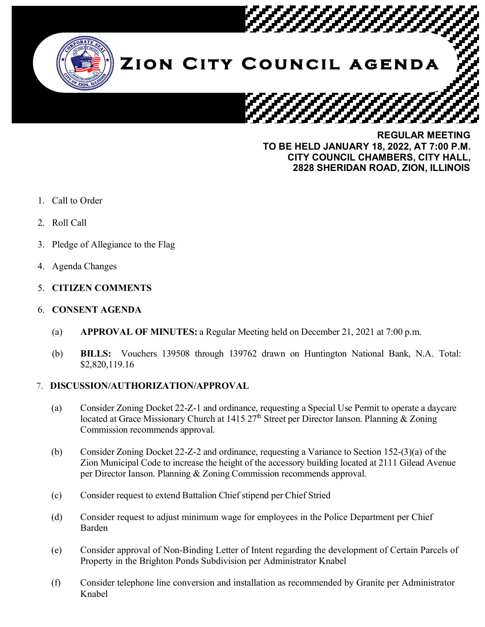

**TO BE HELD JANUARY 18, 2022, AT 7:00 P.M. CITY COUNCIL CHAMBERS, CITY HALL, 2828 SHERIDAN ROAD, ZION, ILLINOIS**

- 1. Call to Order
- 2. Roll Call
- 3. Pledge of Allegiance to the Flag
- 4. Agenda Changes
- 5. **CITIZEN COMMENTS**
- 6. **CONSENT AGENDA**
	- (a) **APPROVAL OF MINUTES:** a Regular Meeting held on December 21, 2021 at 7:00 p.m.
	- (b) **BILLS:** Vouchers 139508 through 139762 drawn on Huntington National Bank, N.A. Total: \$2,820,119.16

## 7. **DISCUSSION/AUTHORIZATION/APPROVAL**

- (a) Consider Zoning Docket 22-Z-1 and ordinance, requesting a Special Use Permit to operate a daycare located at Grace Missionary Church at 1415 27<sup>th</sup> Street per Director Ianson. Planning & Zoning Commission recommends approval.
- (b) Consider Zoning Docket 22-Z-2 and ordinance, requesting a Variance to Section 152-(3)(a) of the Zion Municipal Code to increase the height of the accessory building located at 2111 Gilead Avenue per Director Ianson. Planning & Zoning Commission recommends approval.
- (c) Consider request to extend Battalion Chief stipend per Chief Stried
- (d) Consider request to adjust minimum wage for employees in the Police Department per Chief Barden
- (e) Consider approval of Non-Binding Letter of Intent regarding the development of Certain Parcels of Property in the Brighton Ponds Subdivision per Administrator Knabel
- (f) Consider telephone line conversion and installation as recommended by Granite per Administrator Knabel